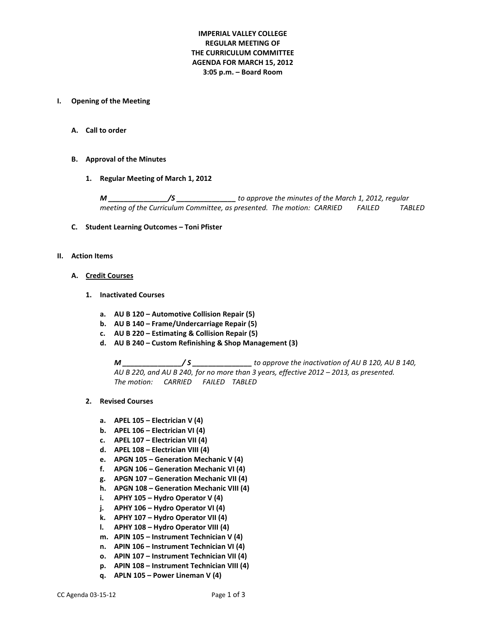# **IMPERIAL VALLEY COLLEGE REGULAR MEETING OF THE CURRICULUM COMMITTEE AGENDA FOR MARCH 15, 2012 3:05 p.m. – Board Room**

#### **I. Opening of the Meeting**

**A. Call to order**

### **B. Approval of the Minutes**

**1. Regular Meeting of March 1, 2012**

*M \_\_\_\_\_\_\_\_\_\_\_\_\_\_\_/S \_\_\_\_\_\_\_\_\_\_\_\_\_\_\_ to approve the minutes of the March 1, 2012, regular meeting of the Curriculum Committee, as presented. The motion: CARRIED FAILED TABLED*

#### **C. Student Learning Outcomes – Toni Pfister**

#### **II. Action Items**

#### **A. Credit Courses**

- **1. Inactivated Courses**
	- **a. AU B 120 – Automotive Collision Repair (5)**
	- **b. AU B 140 – Frame/Undercarriage Repair (5)**
	- **c. AU B 220 – Estimating & Collision Repair (5)**
	- **d. AU B 240 – Custom Refinishing & Shop Management (3)**

*M \_\_\_\_\_\_\_\_\_\_\_\_\_\_\_/ S \_\_\_\_\_\_\_\_\_\_\_\_\_\_\_ to approve the inactivation of AU B 120, AU B 140, AU B 220, and AU B 240, for no more than 3 years, effective 2012 – 2013, as presented. The motion: CARRIED FAILED TABLED*

- **2. Revised Courses**
	- **a. APEL 105 – Electrician V (4)**
	- **b. APEL 106 – Electrician VI (4)**
	- **c. APEL 107 – Electrician VII (4)**
	- **d. APEL 108 – Electrician VIII (4)**
	- **e. APGN 105 – Generation Mechanic V (4)**
	- **f. APGN 106 – Generation Mechanic VI (4)**
	- **g. APGN 107 – Generation Mechanic VII (4)**
	- **h. APGN 108 – Generation Mechanic VIII (4)**
	- **i. APHY 105 – Hydro Operator V (4)**
	- **j. APHY 106 – Hydro Operator VI (4)**
	- **k. APHY 107 – Hydro Operator VII (4)**
	- **l. APHY 108 – Hydro Operator VIII (4)**
	- **m. APIN 105 – Instrument Technician V (4)**
	- **n. APIN 106 – Instrument Technician VI (4)**
	- **o. APIN 107 – Instrument Technician VII (4)**
	- **p. APIN 108 – Instrument Technician VIII (4)**
	- **q. APLN 105 – Power Lineman V (4)**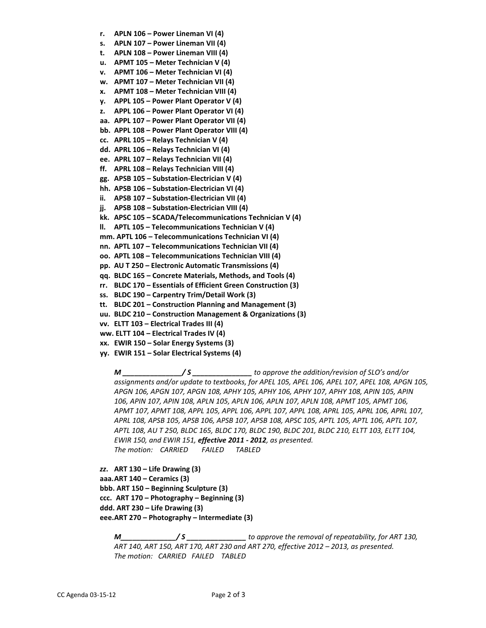- **r. APLN 106 – Power Lineman VI (4)**
- **s. APLN 107 – Power Lineman VII (4)**
- **t. APLN 108 – Power Lineman VIII (4)**
- **u. APMT 105 – Meter Technician V (4)**
- **v. APMT 106 – Meter Technician VI (4)**
- **w. APMT 107 – Meter Technician VII (4)**
- **x. APMT 108 – Meter Technician VIII (4)**
- **y. APPL 105 – Power Plant Operator V (4)**
- **z. APPL 106 – Power Plant Operator VI (4)**
- **aa. APPL 107 – Power Plant Operator VII (4)**
- **bb. APPL 108 – Power Plant Operator VIII (4)**
- **cc. APRL 105 – Relays Technician V (4)**
- **dd. APRL 106 – Relays Technician VI (4)**
- **ee. APRL 107 – Relays Technician VII (4)**
- **ff. APRL 108 – Relays Technician VIII (4)**
- **gg. APSB 105 – Substation-Electrician V (4)**
- **hh. APSB 106 – Substation-Electrician VI (4)**
- **ii. APSB 107 – Substation-Electrician VII (4)**
- **jj. APSB 108 – Substation-Electrician VIII (4)**
- **kk. APSC 105 – SCADA/Telecommunications Technician V (4)**
- **ll. APTL 105 – Telecommunications Technician V (4)**
- **mm. APTL 106 – Telecommunications Technician VI (4)**
- **nn. APTL 107 – Telecommunications Technician VII (4)**
- **oo. APTL 108 – Telecommunications Technician VIII (4)**
- **pp. AU T 250 – Electronic Automatic Transmissions (4)**
- **qq. BLDC 165 – Concrete Materials, Methods, and Tools (4)**
- **rr. BLDC 170 – Essentials of Efficient Green Construction (3)**
- **ss. BLDC 190 – Carpentry Trim/Detail Work (3)**
- **tt. BLDC 201 – Construction Planning and Management (3)**
- **uu. BLDC 210 – Construction Management & Organizations (3)**
- **vv. ELTT 103 – Electrical Trades III (4)**
- **ww. ELTT 104 – Electrical Trades IV (4)**
- **xx. EWIR 150 – Solar Energy Systems (3)**
- **yy. EWIR 151 – Solar Electrical Systems (4)**

*M \_\_\_\_\_\_\_\_\_\_\_\_\_\_\_/ S \_\_\_\_\_\_\_\_\_\_\_\_\_\_\_ to approve the addition/revision of SLO's and/or assignments and/or update to textbooks, for APEL 105, APEL 106, APEL 107, APEL 108, APGN 105, APGN 106, APGN 107, APGN 108, APHY 105, APHY 106, APHY 107, APHY 108, APIN 105, APIN 106, APIN 107, APIN 108, APLN 105, APLN 106, APLN 107, APLN 108, APMT 105, APMT 106, APMT 107, APMT 108, APPL 105, APPL 106, APPL 107, APPL 108, APRL 105, APRL 106, APRL 107, APRL 108, APSB 105, APSB 106, APSB 107, APSB 108, APSC 105, APTL 105, APTL 106, APTL 107, APTL 108, AU T 250, BLDC 165, BLDC 170, BLDC 190, BLDC 201, BLDC 210, ELTT 103, ELTT 104, EWIR 150, and EWIR 151, effective 2011 - 2012, as presented. The motion: CARRIED FAILED TABLED*

*zz***. ART 130 – Life Drawing (3) aaa.ART 140 – Ceramics (3) bbb. ART 150 – Beginning Sculpture (3) ccc. ART 170 – Photography – Beginning (3) ddd. ART 230 – Life Drawing (3) eee.ART 270 – Photography – Intermediate (3)**

*M\_\_\_\_\_\_\_\_\_\_\_\_\_\_/ S \_\_\_\_\_\_\_\_\_\_\_\_\_\_\_ to approve the removal of repeatability, for ART 130, ART 140, ART 150, ART 170, ART 230 and ART 270, effective 2012 – 2013, as presented. The motion: CARRIED FAILED TABLED*